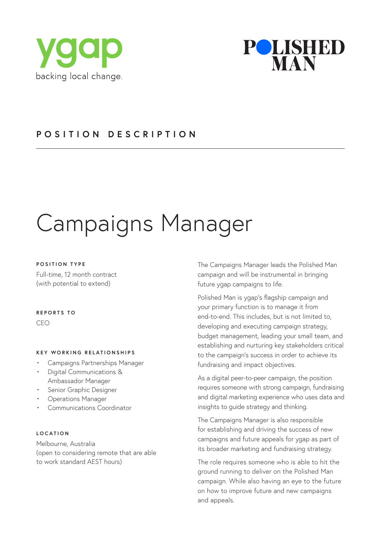



## **POSITION DESCRIPTION**

# Campaigns Manager

#### **POSITION TYPE**

Full-time, 12 month contract (with potential to extend)

#### **REPORTS TO**

CEO

#### **KEY WORKING RELATIONSHIPS**

- Campaigns Partnerships Manager
- Digital Communications & Ambassador Manager
- Senior Graphic Designer
- Operations Manager
- Communications Coordinator

#### **LOCATION**

Melbourne, Australia (open to considering remote that are able to work standard AEST hours)

The Campaigns Manager leads the Polished Man campaign and will be instrumental in bringing future ygap campaigns to life.

Polished Man is ygap's flagship campaign and your primary function is to manage it from end-to-end. This includes, but is not limited to, developing and executing campaign strategy, budget management, leading your small team, and establishing and nurturing key stakeholders critical to the campaign's success in order to achieve its fundraising and impact objectives.

As a digital peer-to-peer campaign, the position requires someone with strong campaign, fundraising and digital marketing experience who uses data and insights to guide strategy and thinking.

The Campaigns Manager is also responsible for establishing and driving the success of new campaigns and future appeals for ygap as part of its broader marketing and fundraising strategy.

The role requires someone who is able to hit the ground running to deliver on the Polished Man campaign. While also having an eye to the future on how to improve future and new campaigns and appeals.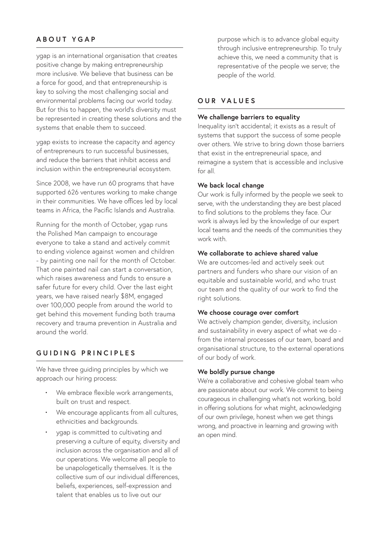## **ABOUT YGAP**

ygap is an international organisation that creates positive change by making entrepreneurship more inclusive. We believe that business can be a force for good, and that entrepreneurship is key to solving the most challenging social and environmental problems facing our world today. But for this to happen, the world's diversity must be represented in creating these solutions and the systems that enable them to succeed.

ygap exists to increase the capacity and agency of entrepreneurs to run successful businesses, and reduce the barriers that inhibit access and inclusion within the entrepreneurial ecosystem.

Since 2008, we have run 60 programs that have supported 626 ventures working to make change in their communities. We have offices led by local teams in Africa, the Pacific Islands and Australia.

Running for the month of October, ygap runs the Polished Man campaign to encourage everyone to take a stand and actively commit to ending violence against women and children - by painting one nail for the month of October. That one painted nail can start a conversation, which raises awareness and funds to ensure a safer future for every child. Over the last eight years, we have raised nearly \$8M, engaged over 100,000 people from around the world to get behind this movement funding both trauma recovery and trauma prevention in Australia and around the world.

## **GUIDING PRINCIPLES**

We have three guiding principles by which we approach our hiring process:

- We embrace flexible work arrangements, built on trust and respect.
- We encourage applicants from all cultures, ethnicities and backgrounds.
- ygap is committed to cultivating and preserving a culture of equity, diversity and inclusion across the organisation and all of our operations. We welcome all people to be unapologetically themselves. It is the collective sum of our individual differences, beliefs, experiences, self-expression and talent that enables us to live out our

purpose which is to advance global equity through inclusive entrepreneurship. To truly achieve this, we need a community that is representative of the people we serve; the people of the world.

## **OUR VALUES**

#### **We challenge barriers to equality**

Inequality isn't accidental; it exists as a result of systems that support the success of some people over others. We strive to bring down those barriers that exist in the entrepreneurial space, and reimagine a system that is accessible and inclusive for all.

#### **We back local change**

Our work is fully informed by the people we seek to serve, with the understanding they are best placed to find solutions to the problems they face. Our work is always led by the knowledge of our expert local teams and the needs of the communities they work with.

#### **We collaborate to achieve shared value**

We are outcomes-led and actively seek out partners and funders who share our vision of an equitable and sustainable world, and who trust our team and the quality of our work to find the right solutions.

#### **We choose courage over comfort**

We actively champion gender, diversity, inclusion and sustainability in every aspect of what we do from the internal processes of our team, board and organisational structure, to the external operations of our body of work.

#### **We boldly pursue change**

We're a collaborative and cohesive global team who are passionate about our work. We commit to being courageous in challenging what's not working, bold in offering solutions for what might, acknowledging of our own privilege, honest when we get things wrong, and proactive in learning and growing with an open mind.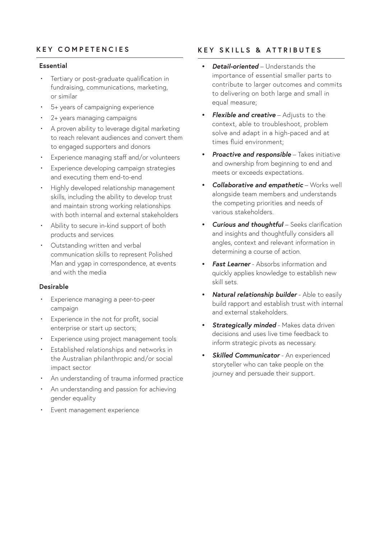## **KEY COMPETENCIES**

#### **Essential**

- Tertiary or post-graduate qualification in fundraising, communications, marketing, or similar
- 5+ years of campaigning experience
- 2+ years managing campaigns
- A proven ability to leverage digital marketing to reach relevant audiences and convert them to engaged supporters and donors
- Experience managing staff and/or volunteers
- Experience developing campaign strategies and executing them end-to-end
- Highly developed relationship management skills, including the ability to develop trust and maintain strong working relationships with both internal and external stakeholders
- Ability to secure in-kind support of both products and services
- Outstanding written and verbal communication skills to represent Polished Man and ygap in correspondence, at events and with the media

### **Desirable**

- Experience managing a peer-to-peer campaign
- Experience in the not for profit, social enterprise or start up sectors;
- Experience using project management tools
- Established relationships and networks in the Australian philanthropic and/or social impact sector
- An understanding of trauma informed practice
- An understanding and passion for achieving gender equality
- Event management experience

## **KEY SKILLS & ATTRIBUTES**

- *• Detail-oriented* Understands the importance of essential smaller parts to contribute to larger outcomes and commits to delivering on both large and small in equal measure;
- *• Flexible and creative* Adjusts to the context, able to troubleshoot, problem solve and adapt in a high-paced and at times fluid environment;
- **Proactive and responsible** Takes initiative and ownership from beginning to end and meets or exceeds expectations.
- *• Collaborative and empathetic* Works well alongside team members and understands the competing priorities and needs of various stakeholders.
- *Curious and thoughtful Seeks clarification* and insights and thoughtfully considers all angles, context and relevant information in determining a course of action.
- *• Fast Learner* Absorbs information and quickly applies knowledge to establish new skill sets.
- *• Natural relationship builder* Able to easily build rapport and establish trust with internal and external stakeholders.
- *• Strategically minded* Makes data driven decisions and uses live time feedback to inform strategic pivots as necessary.
- *Skilled Communicator* An experienced storyteller who can take people on the journey and persuade their support.